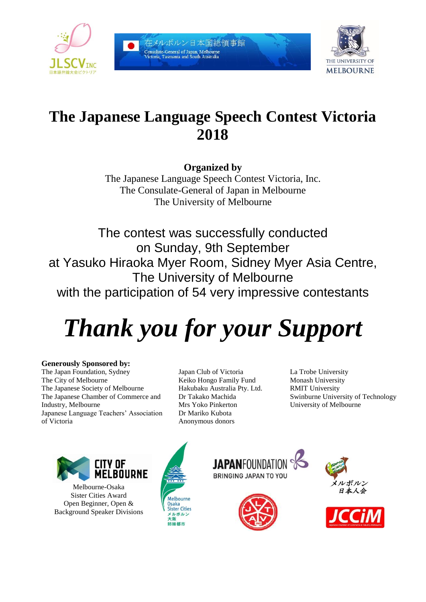

在メルボルン日本国総領事館 .<br>Consulate-General of Japan, Melbourne<br>Victoria, Tasmania and South Australia



# **The Japanese Language Speech Contest Victoria 2018**

**Organized by**

The Japanese Language Speech Contest Victoria, Inc. The Consulate-General of Japan in Melbourne The University of Melbourne

The contest was successfully conducted on Sunday, 9th September at Yasuko Hiraoka Myer Room, Sidney Myer Asia Centre, The University of Melbourne with the participation of 54 very impressive contestants

# *Thank you for your Support*

# **Generously Sponsored by:**

The Japan Foundation, Sydney The City of Melbourne The Japanese Society of Melbourne The Japanese Chamber of Commerce and Industry, Melbourne Japanese Language Teachers' Association of Victoria

Japan Club of Victoria Keiko Hongo Family Fund Hakubaku Australia Pty. Ltd. Dr Takako Machida Mrs Yoko Pinkerton Dr Mariko Kubota Anonymous donors

La Trobe University Monash University RMIT University Swinburne University of Technology University of Melbourne



Melbourne-Osaka Sister Cities Award Open Beginner, Open & Background Speaker Divisions